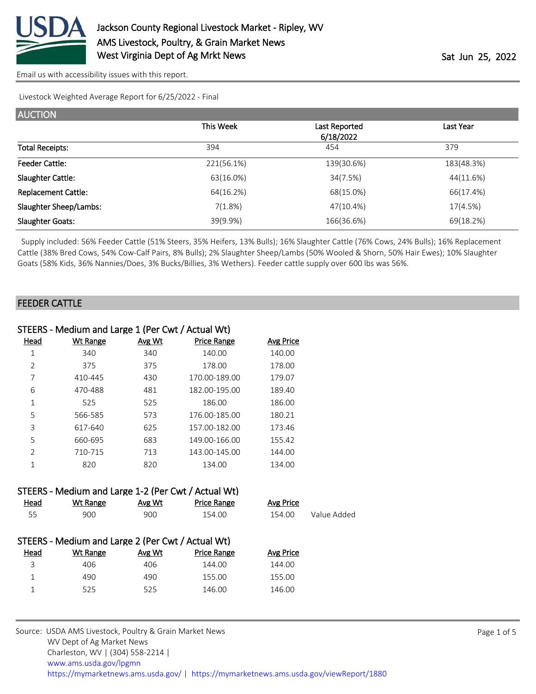

Livestock Weighted Average Report for 6/25/2022 - Final

| <b>AUCTION</b>             |            |                            |            |
|----------------------------|------------|----------------------------|------------|
|                            | This Week  | Last Reported<br>6/18/2022 | Last Year  |
| <b>Total Receipts:</b>     | 394        | 454                        | 379        |
| <b>Feeder Cattle:</b>      | 221(56.1%) | 139(30.6%)                 | 183(48.3%) |
| Slaughter Cattle:          | 63(16.0%)  | 34(7.5%)                   | 44(11.6%)  |
| <b>Replacement Cattle:</b> | 64(16.2%)  | 68(15.0%)                  | 66(17.4%)  |
| Slaughter Sheep/Lambs:     | 7(1.8%)    | 47(10.4%)                  | 17(4.5%)   |
| <b>Slaughter Goats:</b>    | 39(9.9%)   | 166(36.6%)                 | 69(18.2%)  |

 Supply included: 56% Feeder Cattle (51% Steers, 35% Heifers, 13% Bulls); 16% Slaughter Cattle (76% Cows, 24% Bulls); 16% Replacement Cattle (38% Bred Cows, 54% Cow-Calf Pairs, 8% Bulls); 2% Slaughter Sheep/Lambs (50% Wooled & Shorn, 50% Hair Ewes); 10% Slaughter Goats (58% Kids, 36% Nannies/Does, 3% Bucks/Billies, 3% Wethers). Feeder cattle supply over 600 lbs was 56%.

#### FEEDER CATTLE

| STEERS - Medium and Large 1 (Per Cwt / Actual Wt)   |                 |        |                    |                  |  |  |  |  |
|-----------------------------------------------------|-----------------|--------|--------------------|------------------|--|--|--|--|
| <u>Head</u>                                         | <b>Wt Range</b> | Avg Wt | <b>Price Range</b> | <b>Avg Price</b> |  |  |  |  |
| 1                                                   | 340             | 340    | 140.00             | 140.00           |  |  |  |  |
| $\overline{2}$                                      | 375             | 375    | 178.00             | 178.00           |  |  |  |  |
| 7                                                   | 410-445         | 430    | 170.00-189.00      | 179.07           |  |  |  |  |
| 6                                                   | 470-488         | 481    | 182.00-195.00      | 189.40           |  |  |  |  |
| $\mathbf{1}$                                        | 525             | 525    | 186.00             | 186.00           |  |  |  |  |
| 5                                                   | 566-585         | 573    | 176.00-185.00      | 180.21           |  |  |  |  |
| 3                                                   | 617-640         | 625    | 157.00-182.00      | 173.46           |  |  |  |  |
| 5                                                   | 660-695         | 683    | 149.00-166.00      | 155.42           |  |  |  |  |
| $\overline{2}$                                      | 710-715         | 713    | 143.00-145.00      | 144.00           |  |  |  |  |
| $\mathbf{1}$                                        | 820             | 820    | 134.00             | 134.00           |  |  |  |  |
|                                                     |                 |        |                    |                  |  |  |  |  |
| STEERS - Medium and Large 1-2 (Per Cwt / Actual Wt) |                 |        |                    |                  |  |  |  |  |

| Head        | Wt Range                                          | Avg Wt | <b>Price Range</b> | Avg Price |             |
|-------------|---------------------------------------------------|--------|--------------------|-----------|-------------|
| 55          | 900                                               | 900    | 154.00             | 154.00    | Value Added |
|             |                                                   |        |                    |           |             |
|             | STEERS - Medium and Large 2 (Per Cwt / Actual Wt) |        |                    |           |             |
| <u>Head</u> | Wt Range                                          | Avg Wt | <b>Price Range</b> | Avg Price |             |
| 3           | 406                                               | 406    | 144.00             | 144.00    |             |
|             | 490                                               | 490    | 155.00             | 155.00    |             |
|             | 525                                               | 525    | 146.00             | 146.00    |             |
|             |                                                   |        |                    |           |             |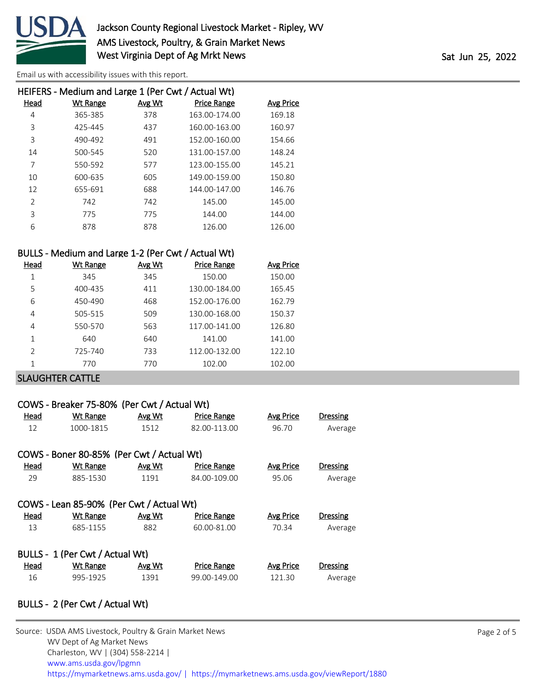

| HEIFERS - Medium and Large 1 (Per Cwt / Actual Wt) |          |               |                    |                  |  |  |  |  |
|----------------------------------------------------|----------|---------------|--------------------|------------------|--|--|--|--|
| Head                                               | Wt Range | <b>Avg Wt</b> | <b>Price Range</b> | <b>Avg Price</b> |  |  |  |  |
| 4                                                  | 365-385  | 378           | 163.00-174.00      | 169.18           |  |  |  |  |
| 3                                                  | 425-445  | 437           | 160.00-163.00      | 160.97           |  |  |  |  |
| 3                                                  | 490-492  | 491           | 152.00-160.00      | 154.66           |  |  |  |  |
| 14                                                 | 500-545  | 520           | 131.00-157.00      | 148.24           |  |  |  |  |
| 7                                                  | 550-592  | 577           | 123.00-155.00      | 145.21           |  |  |  |  |
| 10                                                 | 600-635  | 605           | 149.00-159.00      | 150.80           |  |  |  |  |
| 12                                                 | 655-691  | 688           | 144.00-147.00      | 146.76           |  |  |  |  |
| $\overline{2}$                                     | 742      | 742           | 145.00             | 145.00           |  |  |  |  |
| 3                                                  | 775      | 775           | 144.00             | 144.00           |  |  |  |  |
| 6                                                  | 878      | 878           | 126.00             | 126.00           |  |  |  |  |
|                                                    |          |               |                    |                  |  |  |  |  |

## BULLS - Medium and Large 1-2 (Per Cwt / Actual Wt)

| Head           | <b>Wt Range</b> | Avg Wt | <b>Price Range</b> | <b>Avg Price</b> |
|----------------|-----------------|--------|--------------------|------------------|
| 1              | 345             | 345    | 150.00             | 150.00           |
| 5              | 400-435         | 411    | 130.00-184.00      | 165.45           |
| 6              | 450-490         | 468    | 152.00-176.00      | 162.79           |
| 4              | 505-515         | 509    | 130.00-168.00      | 150.37           |
| 4              | 550-570         | 563    | 117.00-141.00      | 126.80           |
| 1              | 640             | 640    | 141.00             | 141.00           |
| $\mathfrak{D}$ | 725-740         | 733    | 112.00-132.00      | 122.10           |
| 1              | 770             | 770    | 102.00             | 102.00           |
|                |                 |        |                    |                  |

#### SLAUGHTER CATTLE

| COWS - Breaker 75-80% (Per Cwt / Actual Wt) |                                           |        |                    |           |                 |  |  |  |  |
|---------------------------------------------|-------------------------------------------|--------|--------------------|-----------|-----------------|--|--|--|--|
| Head                                        | Wt Range                                  | Avg Wt | <b>Price Range</b> | Avg Price | Dressing        |  |  |  |  |
| 12                                          | 1000-1815                                 | 1512   | 82.00-113.00       | 96.70     | Average         |  |  |  |  |
|                                             | COWS - Boner 80-85% (Per Cwt / Actual Wt) |        |                    |           |                 |  |  |  |  |
| Head                                        | Wt Range                                  | Avg Wt | <b>Price Range</b> | Avg Price | Dressing        |  |  |  |  |
| 29                                          | 885-1530                                  | 1191   | 84.00-109.00       | 95.06     | Average         |  |  |  |  |
|                                             | COWS - Lean 85-90% (Per Cwt / Actual Wt)  |        |                    |           |                 |  |  |  |  |
| Head                                        | Wt Range                                  | Avg Wt | <b>Price Range</b> | Avg Price | <b>Dressing</b> |  |  |  |  |
| 13                                          | 685-1155                                  | 882    | 60.00-81.00        | 70.34     | Average         |  |  |  |  |
| BULLS - 1 (Per Cwt / Actual Wt)             |                                           |        |                    |           |                 |  |  |  |  |
| Head                                        | <b>Wt Range</b>                           | Avg Wt | <b>Price Range</b> | Avg Price | <b>Dressing</b> |  |  |  |  |
| 16                                          | 995-1925                                  | 1391   | 99.00-149.00       | 121.30    | Average         |  |  |  |  |

# BULLS - 2 (Per Cwt / Actual Wt)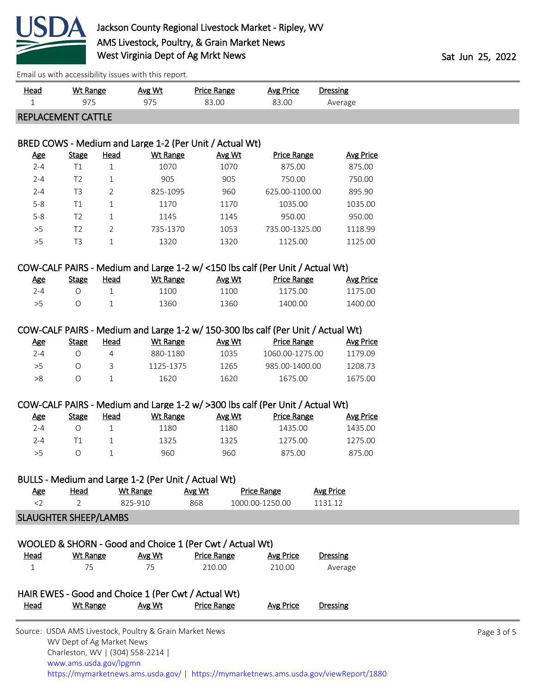

| <u>Head</u>               | <b>Wt Range</b> | Avg Wt | <b>Price Range</b> | Avg Price | <b>Dressing</b> |
|---------------------------|-----------------|--------|--------------------|-----------|-----------------|
|                           | 975             | 975    | 83.00              | 83.00     | Average         |
| <b>REPLACEMENT CATTLE</b> |                 |        |                    |           |                 |

## BRED COWS - Medium and Large 1-2 (Per Unit / Actual Wt)

| <u>Age</u> | <b>Stage</b>   | Head | Wt Range | Avg Wt | <b>Price Range</b> | Avg Price |
|------------|----------------|------|----------|--------|--------------------|-----------|
| $2 - 4$    | Τ1             |      | 1070     | 1070   | 875.00             | 875.00    |
| $2 - 4$    | T <sub>2</sub> | 1    | 905      | 905    | 750.00             | 750.00    |
| $2 - 4$    | T <sub>3</sub> |      | 825-1095 | 960    | 625.00-1100.00     | 895.90    |
| $5 - 8$    | Т1             | 1    | 1170     | 1170   | 1035.00            | 1035.00   |
| $5 - 8$    | T2             | 1    | 1145     | 1145   | 950.00             | 950.00    |
| >5         | T <sub>2</sub> |      | 735-1370 | 1053   | 735.00-1325.00     | 1118.99   |
| >5         | T3             |      | 1320     | 1320   | 1125.00            | 1125.00   |
|            |                |      |          |        |                    |           |

## COW-CALF PAIRS - Medium and Large 1-2 w/ <150 lbs calf (Per Unit / Actual Wt)

| Age | Stage | Head | Wt Range | Avg Wt | <b>Price Range</b> | <b>Avg Price</b> |
|-----|-------|------|----------|--------|--------------------|------------------|
| つ-4 |       |      | 1100     | 1100   | 1175.00            | 1175.00          |
|     |       |      | 1360     | 1360   | 1400.00            | 1400.00          |

## COW-CALF PAIRS - Medium and Large 1-2 w/ 150-300 lbs calf (Per Unit / Actual Wt)

| Age | Stage | Head | Wt Range  | Avg Wt | <b>Price Range</b> | Avg Price |
|-----|-------|------|-----------|--------|--------------------|-----------|
| 2-4 |       |      | 880-1180  | 1035   | 1060 00-1275 00    | 1179 N.   |
| >5  |       |      | 1125-1375 | 1265   | 985.00-1400.00     | 1208.73   |
| >8  |       |      | 1620      | 1620   | 1675.00            | 1675.00   |

## COW-CALF PAIRS - Medium and Large 1-2 w/ >300 lbs calf (Per Unit / Actual Wt)

| Age     | Stage | Head | Wt Range | Avg Wt | <b>Price Range</b> | Avg Price |
|---------|-------|------|----------|--------|--------------------|-----------|
| $2 - 4$ |       |      | 1180     | 1180   | 1435.00            | 1435.00   |
| 2-4     |       |      | 1325     | 1325   | 1275.00            | 1275.00   |
| >5      |       |      | 960      | 960    | 875.00             | 875.00    |

#### BULLS - Medium and Large 1-2 (Per Unit / Actual Wt)

| <u>Age</u> | Head | Wt Range | Avg Wt | <b>Price Range</b> | Avg Price |
|------------|------|----------|--------|--------------------|-----------|
|            |      | 825-910  | 868    | 1000.00-1250.00    | 1131 12   |
|            |      |          |        |                    |           |

## SLAUGHTER SHEEP/LAMBS

|             |                                                                                                                                                |        | WOOLED & SHORN - Good and Choice 1 (Per Cwt / Actual Wt) |           |                     |
|-------------|------------------------------------------------------------------------------------------------------------------------------------------------|--------|----------------------------------------------------------|-----------|---------------------|
| <u>Head</u> | Wt Range                                                                                                                                       | Avg Wt | Price Range                                              | Avg Price | Dressing<br>Average |
|             | /5                                                                                                                                             | 75.    | 210.00                                                   | 210.00    |                     |
|             | <b>ILAID FIAIFR.</b> $Q_{\text{max}}$ and $Q_{\text{max}}$ and $Q_{\text{max}}$ and $Q_{\text{max}}$ and $Q_{\text{max}}$ and $Q_{\text{max}}$ |        |                                                          |           |                     |

# HAIR EWES - Good and Choice 1 (Per Cwt / Actual Wt) Head Wt Range Avg Wt Price Range Avg Price Dressing

| Source: USDA AMS Livestock, Poultry & Grain Market News                                |
|----------------------------------------------------------------------------------------|
| WV Dept of Ag Market News                                                              |
| Charleston, WV   (304) 558-2214                                                        |
| www.ams.usda.gov/lpgmn                                                                 |
| https://mymarketnews.ams.usda.gov/   https://mymarketnews.ams.usda.gov/viewReport/1880 |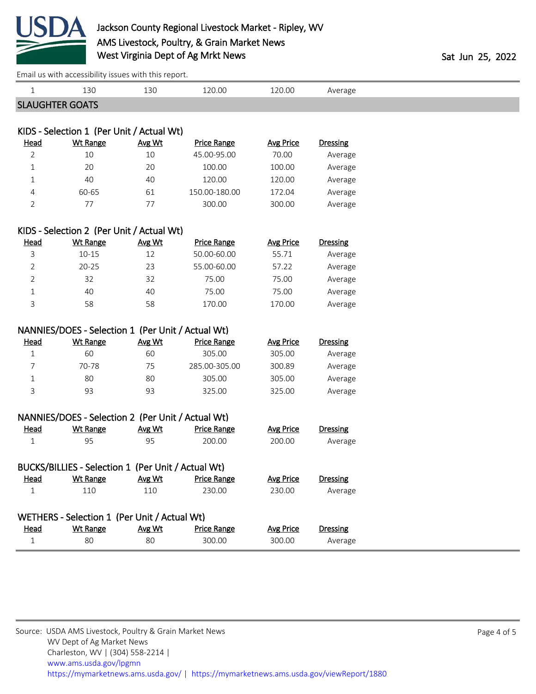

| $\mathbf{1}$                                 | 130                                                | 130    | 120.00             | 120.00           | Average         |  |  |  |  |  |
|----------------------------------------------|----------------------------------------------------|--------|--------------------|------------------|-----------------|--|--|--|--|--|
|                                              | <b>SLAUGHTER GOATS</b>                             |        |                    |                  |                 |  |  |  |  |  |
|                                              |                                                    |        |                    |                  |                 |  |  |  |  |  |
|                                              | KIDS - Selection 1 (Per Unit / Actual Wt)          |        |                    |                  |                 |  |  |  |  |  |
| <b>Head</b>                                  | <b>Wt Range</b>                                    | Avg Wt | <b>Price Range</b> | <b>Avg Price</b> | <b>Dressing</b> |  |  |  |  |  |
| $\overline{2}$                               | 10                                                 | 10     | 45.00-95.00        | 70.00            | Average         |  |  |  |  |  |
| 1                                            | 20                                                 | 20     | 100.00             | 100.00           | Average         |  |  |  |  |  |
| 1                                            | 40                                                 | 40     | 120.00             | 120.00           | Average         |  |  |  |  |  |
| 4                                            | 60-65                                              | 61     | 150.00-180.00      | 172.04           | Average         |  |  |  |  |  |
| $\overline{2}$                               | 77                                                 | 77     | 300.00             | 300.00           | Average         |  |  |  |  |  |
| KIDS - Selection 2 (Per Unit / Actual Wt)    |                                                    |        |                    |                  |                 |  |  |  |  |  |
| <b>Head</b>                                  | <b>Wt Range</b>                                    | Avg Wt | <b>Price Range</b> | <b>Avg Price</b> | <b>Dressing</b> |  |  |  |  |  |
| 3                                            | $10 - 15$                                          | 12     | 50.00-60.00        | 55.71            | Average         |  |  |  |  |  |
| 2                                            | $20 - 25$                                          | 23     | 55.00-60.00        | 57.22            | Average         |  |  |  |  |  |
| 2                                            | 32                                                 | 32     | 75.00              | 75.00            | Average         |  |  |  |  |  |
| $\mathbf 1$                                  | 40                                                 | 40     | 75.00              | 75.00            | Average         |  |  |  |  |  |
| 3                                            | 58                                                 | 58     | 170.00             | 170.00           | Average         |  |  |  |  |  |
|                                              | NANNIES/DOES - Selection 1 (Per Unit / Actual Wt)  |        |                    |                  |                 |  |  |  |  |  |
| <b>Head</b>                                  | <b>Wt Range</b>                                    | Avg Wt | <b>Price Range</b> | <b>Avg Price</b> | <b>Dressing</b> |  |  |  |  |  |
| $\mathbf{1}$                                 | 60                                                 | 60     | 305.00             | 305.00           | Average         |  |  |  |  |  |
| 7                                            | 70-78                                              | 75     | 285.00-305.00      | 300.89           | Average         |  |  |  |  |  |
| 1                                            | 80                                                 | 80     | 305.00             | 305.00           | Average         |  |  |  |  |  |
| $\ensuremath{\mathsf{3}}$                    | 93                                                 | 93     | 325.00             | 325.00           | Average         |  |  |  |  |  |
|                                              |                                                    |        |                    |                  |                 |  |  |  |  |  |
|                                              | NANNIES/DOES - Selection 2 (Per Unit / Actual Wt)  |        |                    |                  |                 |  |  |  |  |  |
| <u>Head</u>                                  | <b>Wt Range</b>                                    | Avg Wt | <b>Price Range</b> | <b>Avg Price</b> | <b>Dressing</b> |  |  |  |  |  |
| $\mathbf{1}$                                 | 95                                                 | 95     | 200.00             | 200.00           | Average         |  |  |  |  |  |
|                                              | BUCKS/BILLIES - Selection 1 (Per Unit / Actual Wt) |        |                    |                  |                 |  |  |  |  |  |
| <u>Head</u>                                  | <u>Wt Range Lang Wt</u>                            |        | <b>Price Range</b> | <b>Avg Price</b> | <b>Dressing</b> |  |  |  |  |  |
| 1                                            | 110                                                | 110    | 230.00             | 230.00           | Average         |  |  |  |  |  |
| WETHERS - Selection 1 (Per Unit / Actual Wt) |                                                    |        |                    |                  |                 |  |  |  |  |  |
| <b>Head</b>                                  | <b>Wt Range</b>                                    | Avg Wt | <b>Price Range</b> | <b>Avg Price</b> | <b>Dressing</b> |  |  |  |  |  |
| $\mathbf{1}$                                 | 80                                                 | 80     | 300.00             | 300.00           | Average         |  |  |  |  |  |
|                                              |                                                    |        |                    |                  |                 |  |  |  |  |  |